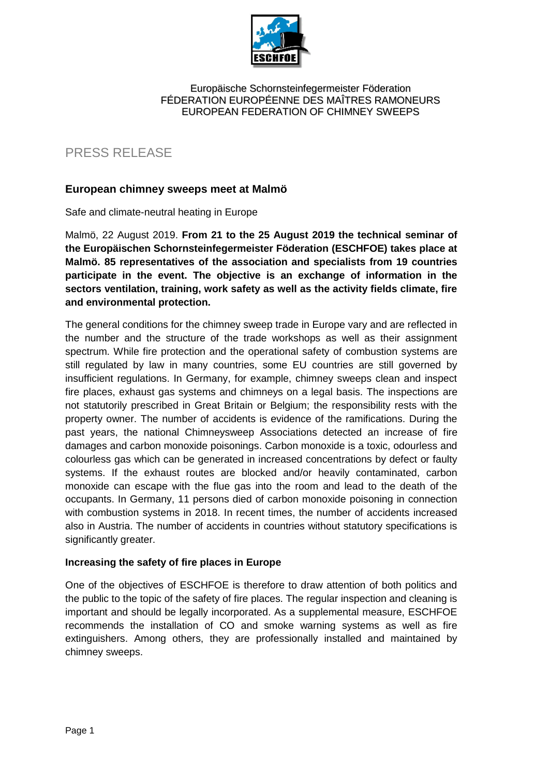

### Europäische Schornsteinfegermeister Föderation FÉDERATION EUROPÉENNE DES MAÎTRES RAMONEURS EUROPEAN FEDERATION OF CHIMNEY SWEEPS

# PRESS RELEASE

# **European chimney sweeps meet at Malmö**

Safe and climate-neutral heating in Europe

Malmö, 22 August 2019. **From 21 to the 25 August 2019 the technical seminar of the Europäischen Schornsteinfegermeister Föderation (ESCHFOE) takes place at Malmö. 85 representatives of the association and specialists from 19 countries participate in the event. The objective is an exchange of information in the sectors ventilation, training, work safety as well as the activity fields climate, fire and environmental protection.** 

The general conditions for the chimney sweep trade in Europe vary and are reflected in the number and the structure of the trade workshops as well as their assignment spectrum. While fire protection and the operational safety of combustion systems are still regulated by law in many countries, some EU countries are still governed by insufficient regulations. In Germany, for example, chimney sweeps clean and inspect fire places, exhaust gas systems and chimneys on a legal basis. The inspections are not statutorily prescribed in Great Britain or Belgium; the responsibility rests with the property owner. The number of accidents is evidence of the ramifications. During the past years, the national Chimneysweep Associations detected an increase of fire damages and carbon monoxide poisonings. Carbon monoxide is a toxic, odourless and colourless gas which can be generated in increased concentrations by defect or faulty systems. If the exhaust routes are blocked and/or heavily contaminated, carbon monoxide can escape with the flue gas into the room and lead to the death of the occupants. In Germany, 11 persons died of carbon monoxide poisoning in connection with combustion systems in 2018. In recent times, the number of accidents increased also in Austria. The number of accidents in countries without statutory specifications is significantly greater.

# **Increasing the safety of fire places in Europe**

One of the objectives of ESCHFOE is therefore to draw attention of both politics and the public to the topic of the safety of fire places. The regular inspection and cleaning is important and should be legally incorporated. As a supplemental measure, ESCHFOE recommends the installation of CO and smoke warning systems as well as fire extinguishers. Among others, they are professionally installed and maintained by chimney sweeps.